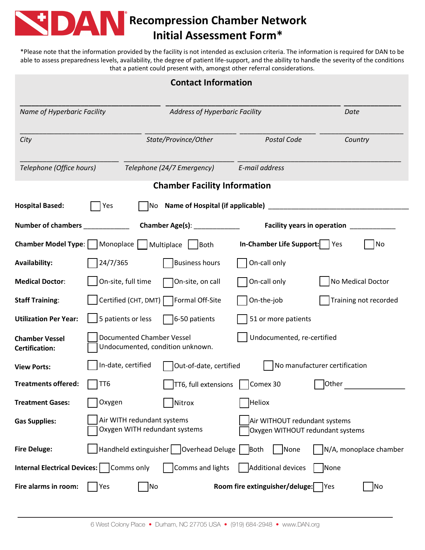

## **Recompression Chamber Network Initial Assessment Form\***

\*Please note that the information provided by the facility is not intended as exclusion criteria. The information is required for DAN to be able to assess preparedness levels, availability, the degree of patient life-support, and the ability to handle the severity of the conditions that a patient could present with, amongst other referral considerations.

| <b>Contact Information</b>                                                 |                            |                                                |                                                                   |                               |  |  |  |  |  |  |  |
|----------------------------------------------------------------------------|----------------------------|------------------------------------------------|-------------------------------------------------------------------|-------------------------------|--|--|--|--|--|--|--|
| Name of Hyperbaric Facility                                                |                            |                                                | Address of Hyperbaric Facility                                    |                               |  |  |  |  |  |  |  |
| City                                                                       |                            | State/Province/Other                           | <b>Postal Code</b>                                                | Country                       |  |  |  |  |  |  |  |
| Telephone (Office hours)                                                   |                            | Telephone (24/7 Emergency)                     | E-mail address                                                    |                               |  |  |  |  |  |  |  |
| <b>Chamber Facility Information</b>                                        |                            |                                                |                                                                   |                               |  |  |  |  |  |  |  |
| Name of Hospital (if applicable) _<br><b>Hospital Based:</b><br>Yes<br>No. |                            |                                                |                                                                   |                               |  |  |  |  |  |  |  |
| Number of chambers                                                         |                            |                                                | <b>Facility years in operation</b>                                |                               |  |  |  |  |  |  |  |
| Chamber Model Type:     Monoplace     Multiplace     Both                  |                            |                                                | In-Chamber Life Support:     Yes                                  | No                            |  |  |  |  |  |  |  |
| <b>Availability:</b>                                                       | 24/7/365                   | <b>Business hours</b>                          | On-call only                                                      |                               |  |  |  |  |  |  |  |
| <b>Medical Doctor:</b>                                                     | On-site, full time         | On-site, on call                               | On-call only                                                      | No Medical Doctor             |  |  |  |  |  |  |  |
| <b>Staff Training:</b>                                                     |                            | Certified (CHT, DMT) Formal Off-Site           | On-the-job                                                        | Training not recorded         |  |  |  |  |  |  |  |
| <b>Utilization Per Year:</b>                                               | 5 patients or less         | 6-50 patients                                  | 51 or more patients                                               |                               |  |  |  |  |  |  |  |
| <b>Chamber Vessel</b><br><b>Certification:</b>                             | Documented Chamber Vessel  | Undocumented, condition unknown.               | Undocumented, re-certified                                        |                               |  |  |  |  |  |  |  |
| <b>View Ports:</b>                                                         | In-date, certified         | Out-of-date, certified                         |                                                                   | No manufacturer certification |  |  |  |  |  |  |  |
| Treatments offered:                                                        | TT6                        | $\Box$ TT6, full extensions $\Box$ Comex 30    |                                                                   | $\bigsqcup$ Other             |  |  |  |  |  |  |  |
| <b>Treatment Gases:</b>                                                    | Oxygen                     | Nitrox                                         | <b>Heliox</b>                                                     |                               |  |  |  |  |  |  |  |
| <b>Gas Supplies:</b>                                                       | Air WITH redundant systems | Oxygen WITH redundant systems                  | Air WITHOUT redundant systems<br>Oxygen WITHOUT redundant systems |                               |  |  |  |  |  |  |  |
| <b>Fire Deluge:</b>                                                        |                            | Handheld extinguisher   Overhead Deluge   Both | None                                                              | N/A, monoplace chamber        |  |  |  |  |  |  |  |
| <b>Internal Electrical Devices:</b>   Comms only                           |                            | Comms and lights                               | Additional devices                                                | None                          |  |  |  |  |  |  |  |
| Fire alarms in room:                                                       | Yes                        | No                                             | Room fire extinguisher/deluge:                                    | No<br> Yes                    |  |  |  |  |  |  |  |